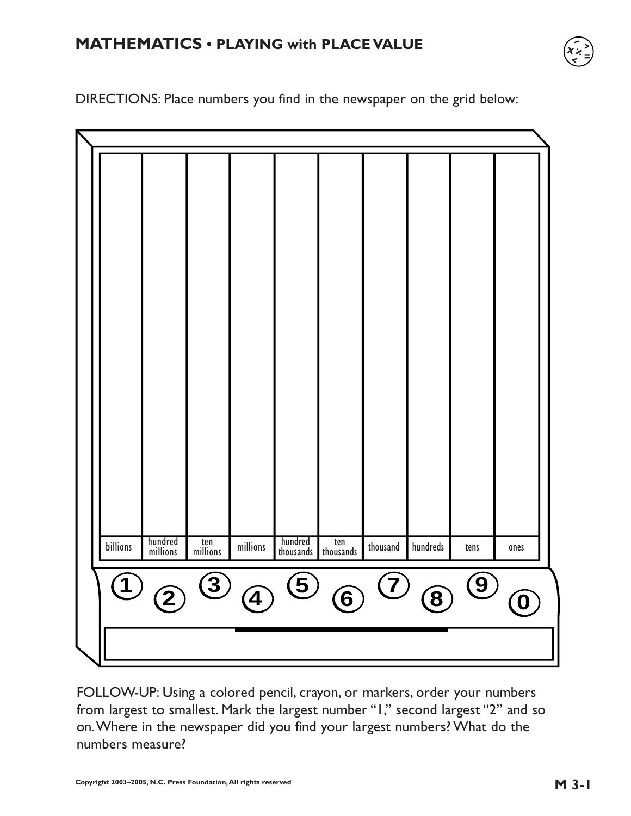# **MATHEMATICS • PLAYING with PLACE VALUE**



DIRECTIONS: Place numbers you find in the newspaper on the grid below:

| N |                   |                     |                 |                         |                      |                  |                              |           |            |                            |
|---|-------------------|---------------------|-----------------|-------------------------|----------------------|------------------|------------------------------|-----------|------------|----------------------------|
|   |                   |                     |                 |                         |                      |                  |                              |           |            |                            |
|   |                   |                     |                 |                         |                      |                  |                              |           |            |                            |
|   |                   |                     |                 |                         |                      |                  |                              |           |            |                            |
|   |                   |                     |                 |                         |                      |                  |                              |           |            |                            |
|   |                   |                     |                 |                         |                      |                  |                              |           |            |                            |
|   |                   |                     |                 |                         |                      |                  |                              |           |            |                            |
|   |                   |                     |                 |                         |                      |                  |                              |           |            |                            |
|   |                   |                     |                 |                         |                      |                  |                              |           |            |                            |
|   |                   |                     |                 |                         |                      |                  |                              |           |            |                            |
|   |                   |                     |                 |                         |                      |                  |                              |           |            |                            |
|   |                   |                     |                 |                         |                      |                  |                              |           |            |                            |
|   |                   |                     |                 |                         |                      |                  |                              |           |            |                            |
|   |                   |                     |                 |                         |                      |                  |                              |           |            |                            |
|   |                   |                     |                 |                         |                      |                  |                              |           |            |                            |
|   | billions          | hundred<br>millions | ten<br>millions | $millions$              | hundred<br>thousands | ten<br>thousands | ${\tt thousand}$             | hundreds  | tens       | ones                       |
|   | $\left( 1\right)$ |                     | $\tilde{3}$     |                         | $\circled{5}$        |                  | $\left( \overline{L}\right)$ |           | $\bigcirc$ |                            |
|   |                   | $\mathbf{2}$        |                 | $\widehat{\mathcal{A}}$ |                      | $\bf(6)$         |                              | $\bf (8)$ |            | $\left( \mathbf{0}\right)$ |
|   |                   |                     |                 |                         |                      |                  |                              |           |            |                            |
|   |                   |                     |                 |                         |                      |                  |                              |           |            |                            |

FOLLOW-UP: Using a colored pencil, crayon, or markers, order your numbers from largest to smallest. Mark the largest number "1," second largest "2" and so on.Where in the newspaper did you find your largest numbers? What do the numbers measure?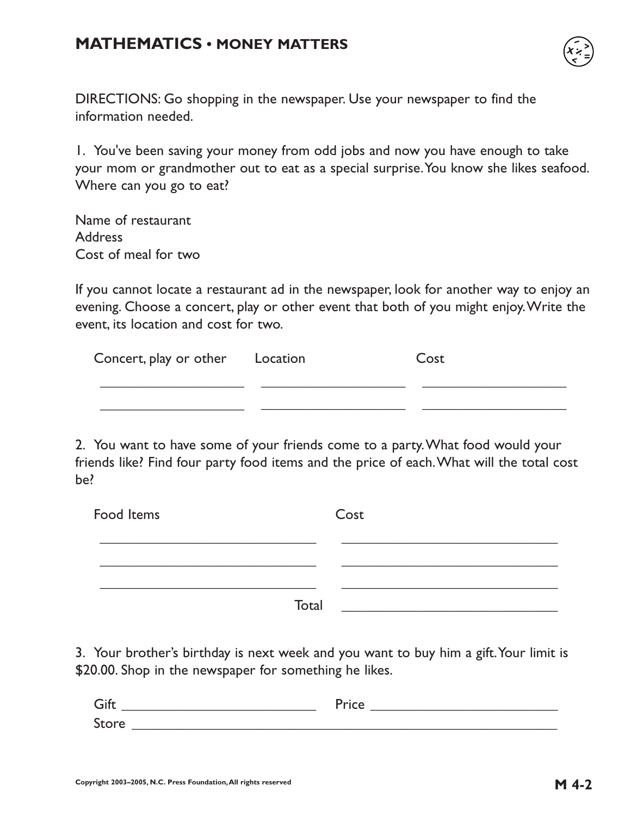## **MATHEMATICS • MONEY MATTERS**



DIRECTIONS: Go shopping in the newspaper. Use your newspaper to find the information needed.

1. You've been saving your money from odd jobs and now you have enough to take your mom or grandmother out to eat as a special surprise.You know she likes seafood. Where can you go to eat?

Name of restaurant Address Cost of meal for two

If you cannot locate a restaurant ad in the newspaper, look for another way to enjoy an evening. Choose a concert, play or other event that both of you might enjoy.Write the event, its location and cost for two.

| Concert, play or other Location | Cost |
|---------------------------------|------|
|                                 |      |
|                                 |      |

2. You want to have some of your friends come to a party.What food would your friends like? Find four party food items and the price of each.What will the total cost be?

| Food Items | Cost  |
|------------|-------|
|            |       |
|            | Total |

3. Your brother's birthday is next week and you want to buy him a gift.Your limit is \$20.00. Shop in the newspaper for something he likes.

| $\bigcap$                                         |  |
|---------------------------------------------------|--|
| $\sim$<br><b>Stor</b><br>$\overline{\phantom{a}}$ |  |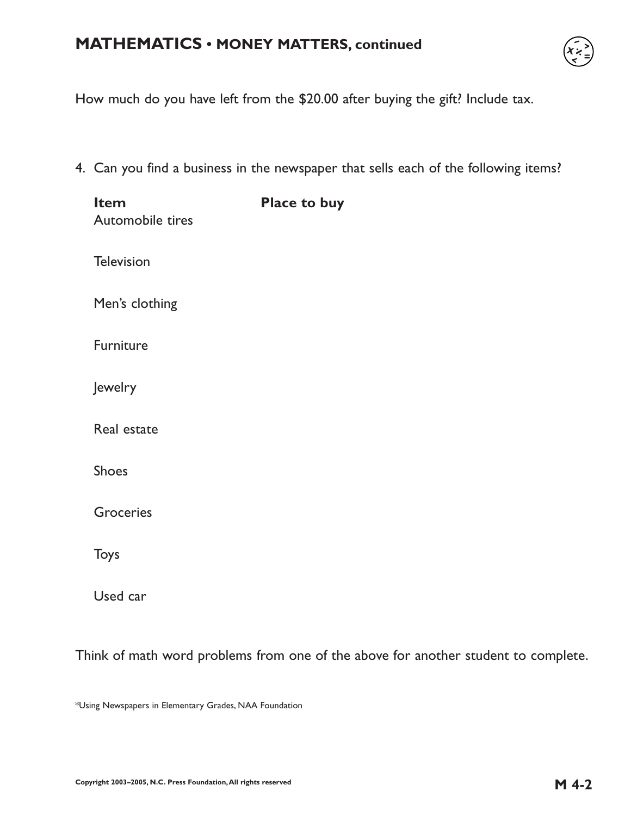### **MATHEMATICS • MONEY MATTERS, continued**



How much do you have left from the \$20.00 after buying the gift? Include tax.

4. Can you find a business in the newspaper that sells each of the following items?

| Item<br>Automobile tires | Place to buy |
|--------------------------|--------------|
| <b>Television</b>        |              |
| Men's clothing           |              |
| Furniture                |              |
| Jewelry                  |              |
| Real estate              |              |
| <b>Shoes</b>             |              |
| Groceries                |              |
| Toys                     |              |
| Used car                 |              |

Think of math word problems from one of the above for another student to complete.

\*Using Newspapers in Elementary Grades, NAA Foundation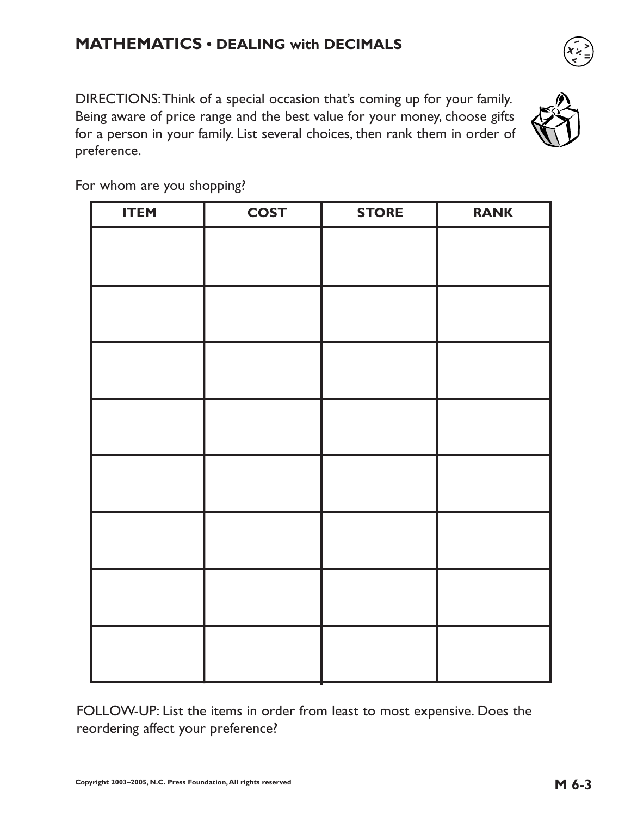DIRECTIONS:Think of a special occasion that's coming up for your family. Being aware of price range and the best value for your money, choose gifts for a person in your family. List several choices, then rank them in order of preference.



For whom are you shopping?

| <b>ITEM</b> | <b>COST</b> | <b>STORE</b> | <b>RANK</b> |
|-------------|-------------|--------------|-------------|
|             |             |              |             |
|             |             |              |             |
|             |             |              |             |
|             |             |              |             |
|             |             |              |             |
|             |             |              |             |
|             |             |              |             |
|             |             |              |             |

FOLLOW-UP: List the items in order from least to most expensive. Does the reordering affect your preference?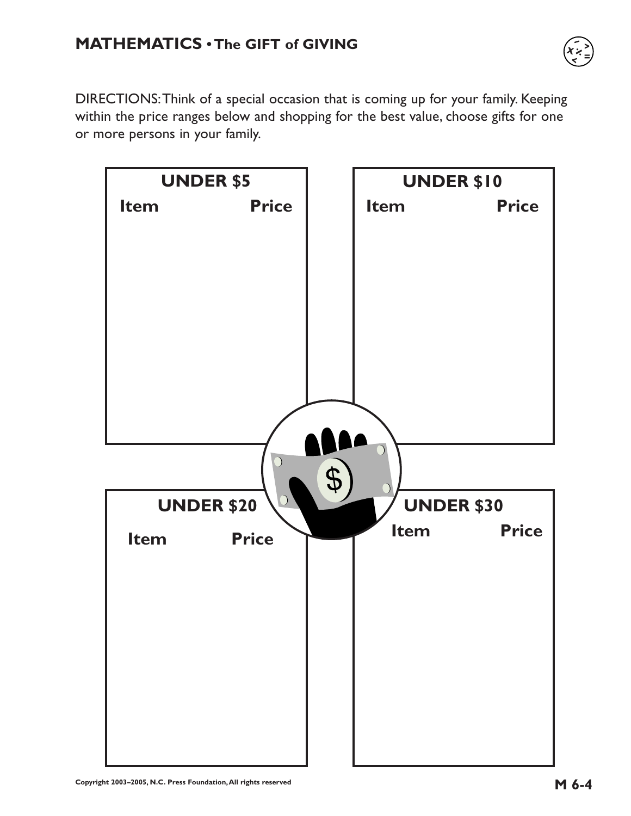

DIRECTIONS:Think of a special occasion that is coming up for your family. Keeping within the price ranges below and shopping for the best value, choose gifts for one or more persons in your family.

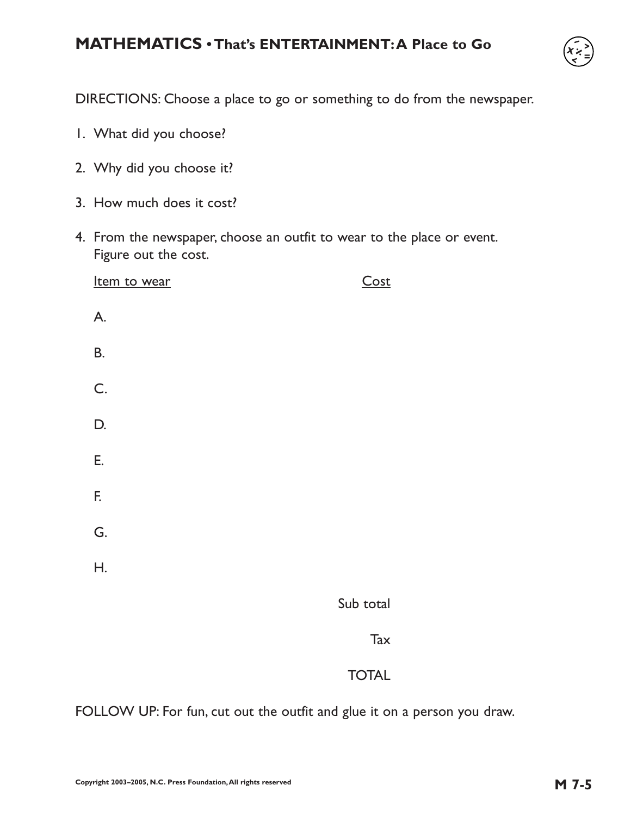## **MATHEMATICS • That's ENTERTAINMENT:A Place to Go**



DIRECTIONS: Choose a place to go or something to do from the newspaper.

- 1. What did you choose?
- 2. Why did you choose it?
- 3. How much does it cost?
- 4. From the newspaper, choose an outfit to wear to the place or event. Figure out the cost.

| Item to wear  | Cost                                          |
|---------------|-----------------------------------------------|
| A.            |                                               |
| <b>B.</b>     |                                               |
| $\mathsf{C}.$ |                                               |
| D.            |                                               |
| Ε.            |                                               |
| F.            |                                               |
| G.            |                                               |
| Η.            |                                               |
|               | $C_{\text{tr}}$ $L_{\text{r}}$ $L_{\text{r}}$ |

Sub total

**Tax** 

#### TOTAL

FOLLOW UP: For fun, cut out the outfit and glue it on a person you draw.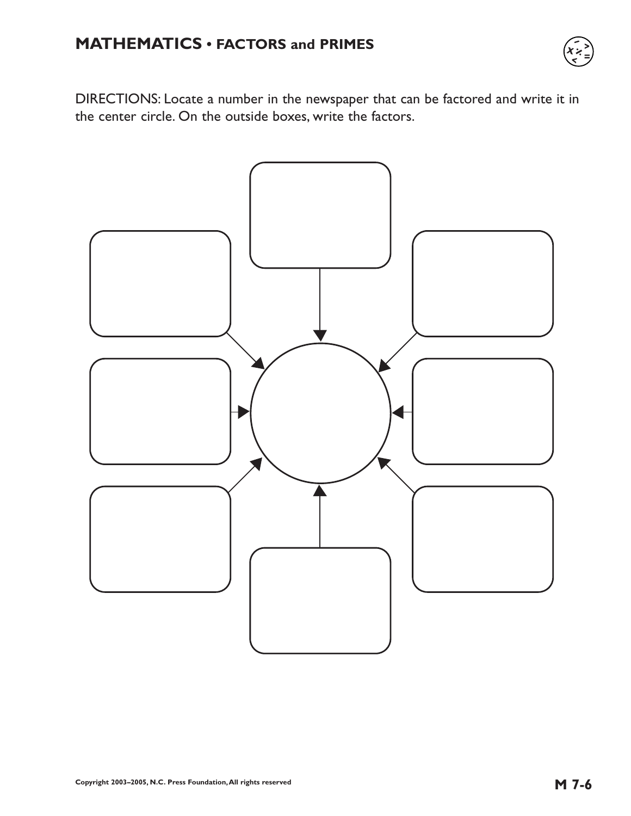

DIRECTIONS: Locate a number in the newspaper that can be factored and write it in the center circle. On the outside boxes, write the factors.

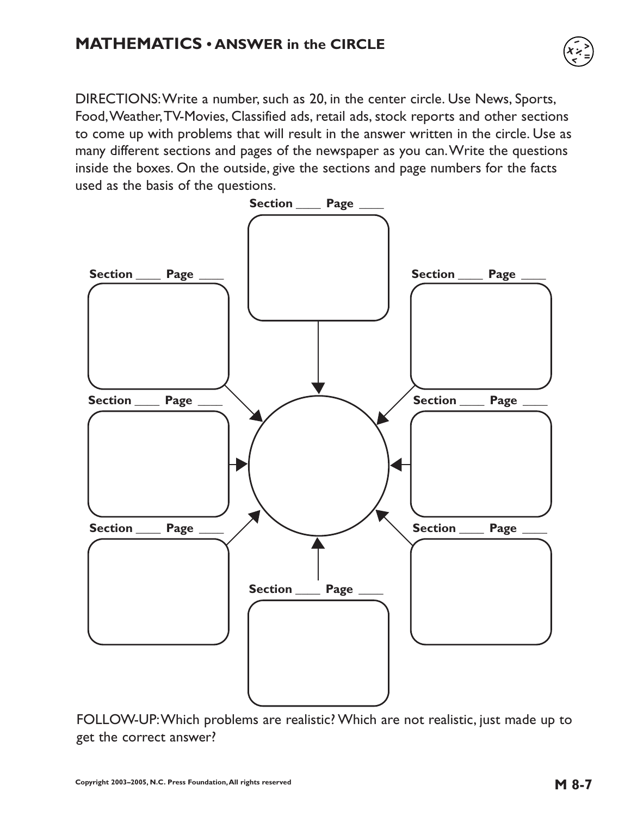DIRECTIONS:Write a number, such as 20, in the center circle. Use News, Sports, Food,Weather,TV-Movies, Classified ads, retail ads, stock reports and other sections to come up with problems that will result in the answer written in the circle. Use as many different sections and pages of the newspaper as you can.Write the questions inside the boxes. On the outside, give the sections and page numbers for the facts used as the basis of the questions.



FOLLOW-UP:Which problems are realistic? Which are not realistic, just made up to get the correct answer?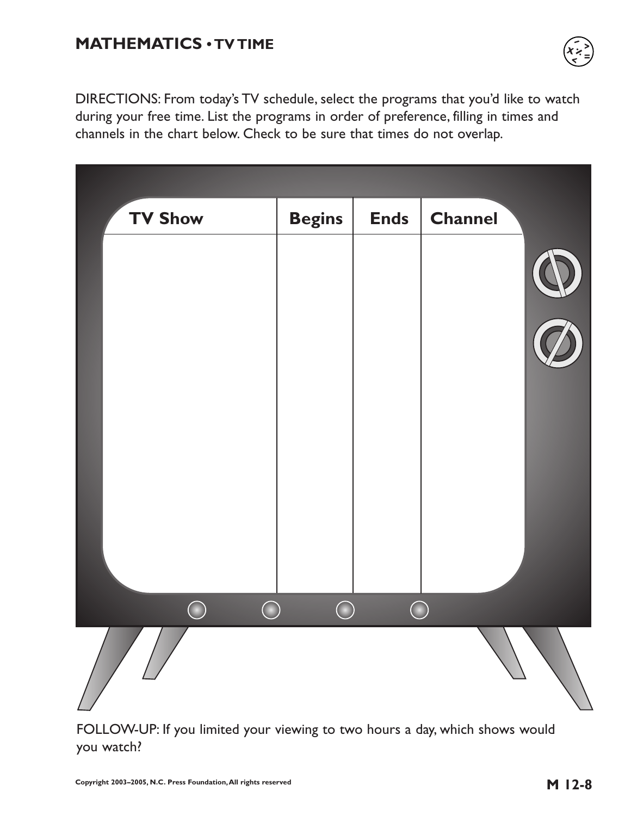# **MATHEMATICS • TV TIME**



DIRECTIONS: From today's TV schedule, select the programs that you'd like to watch during your free time. List the programs in order of preference, filling in times and channels in the chart below. Check to be sure that times do not overlap.

| <b>TV Show</b>  | <b>Begins</b> | <b>Ends</b> | <b>Channel</b> |
|-----------------|---------------|-------------|----------------|
|                 |               |             |                |
|                 |               |             |                |
|                 |               |             |                |
|                 |               |             |                |
| <b>CONTRACT</b> | $\bigcap$     |             |                |
|                 |               |             |                |

FOLLOW-UP: If you limited your viewing to two hours a day, which shows would you watch?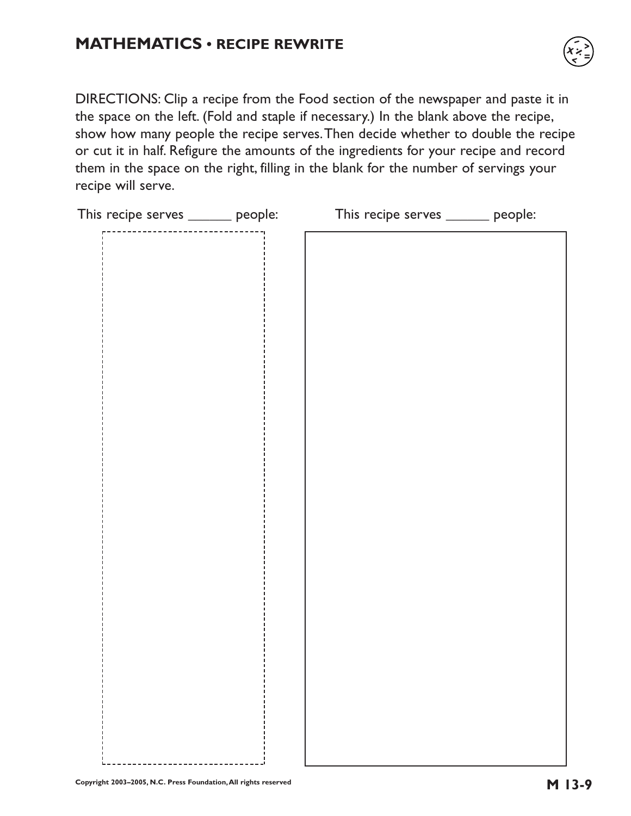## **MATHEMATICS • RECIPE REWRITE**



DIRECTIONS: Clip a recipe from the Food section of the newspaper and paste it in the space on the left. (Fold and staple if necessary.) In the blank above the recipe, show how many people the recipe serves.Then decide whether to double the recipe or cut it in half. Refigure the amounts of the ingredients for your recipe and record them in the space on the right, filling in the blank for the number of servings your recipe will serve.

| This recipe serves ______ people: |   | This recipe serves ______ people: |  |
|-----------------------------------|---|-----------------------------------|--|
|                                   | . |                                   |  |
|                                   |   |                                   |  |
|                                   |   |                                   |  |
|                                   |   |                                   |  |
|                                   |   |                                   |  |
|                                   |   |                                   |  |
|                                   |   |                                   |  |
|                                   |   |                                   |  |
|                                   |   |                                   |  |
|                                   |   |                                   |  |
|                                   |   |                                   |  |
|                                   |   |                                   |  |
|                                   |   |                                   |  |
|                                   |   |                                   |  |
|                                   |   |                                   |  |
|                                   |   |                                   |  |
|                                   |   |                                   |  |
|                                   |   |                                   |  |
|                                   |   |                                   |  |
|                                   |   |                                   |  |
|                                   |   |                                   |  |
|                                   |   |                                   |  |
|                                   |   |                                   |  |
|                                   |   |                                   |  |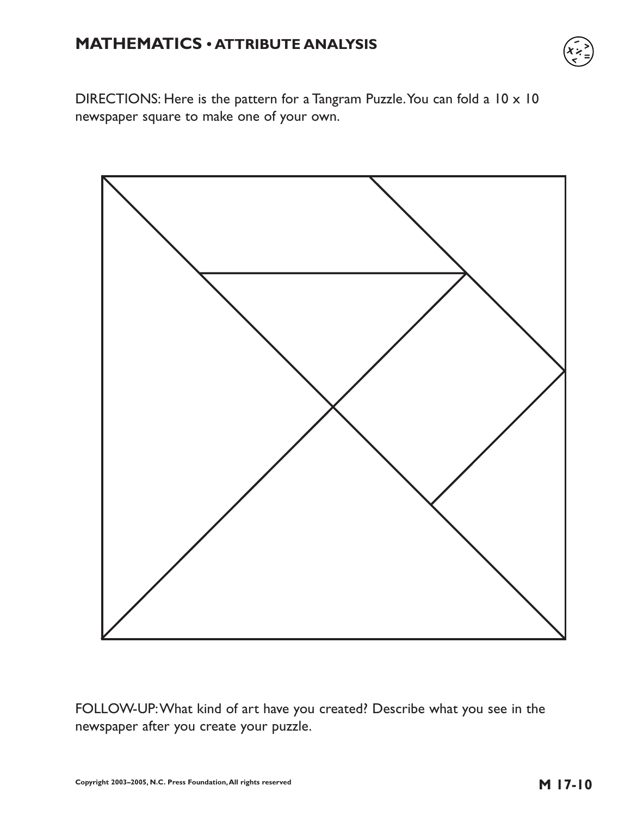## **MATHEMATICS • ATTRIBUTE ANALYSIS**



DIRECTIONS: Here is the pattern for a Tangram Puzzle. You can fold a 10 x 10 newspaper square to make one of your own.



FOLLOW-UP:What kind of art have you created? Describe what you see in the newspaper after you create your puzzle.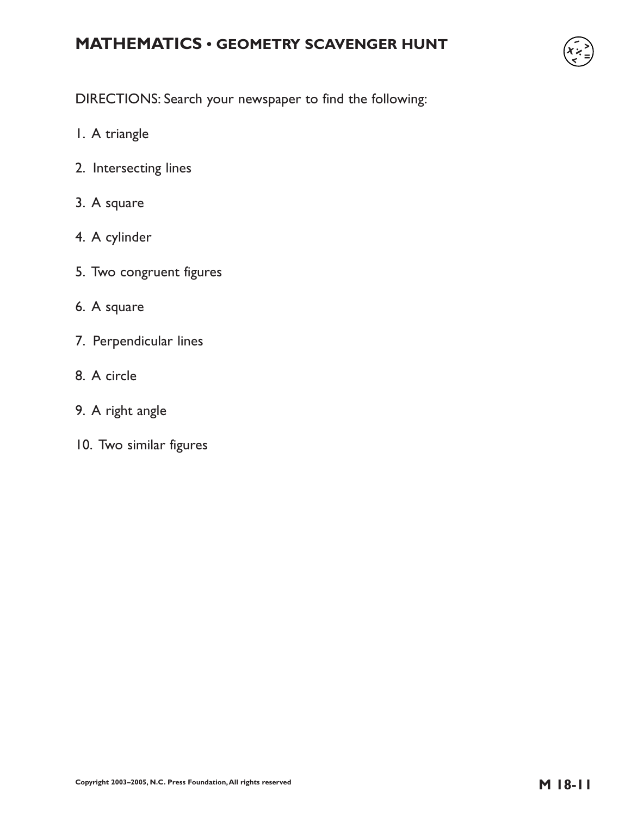# **MATHEMATICS • GEOMETRY SCAVENGER HUNT**



DIRECTIONS: Search your newspaper to find the following:

- 1. A triangle
- 2. Intersecting lines
- 3. A square
- 4. A cylinder
- 5. Two congruent figures
- 6. A square
- 7. Perpendicular lines
- 8. A circle
- 9. A right angle
- 10. Two similar figures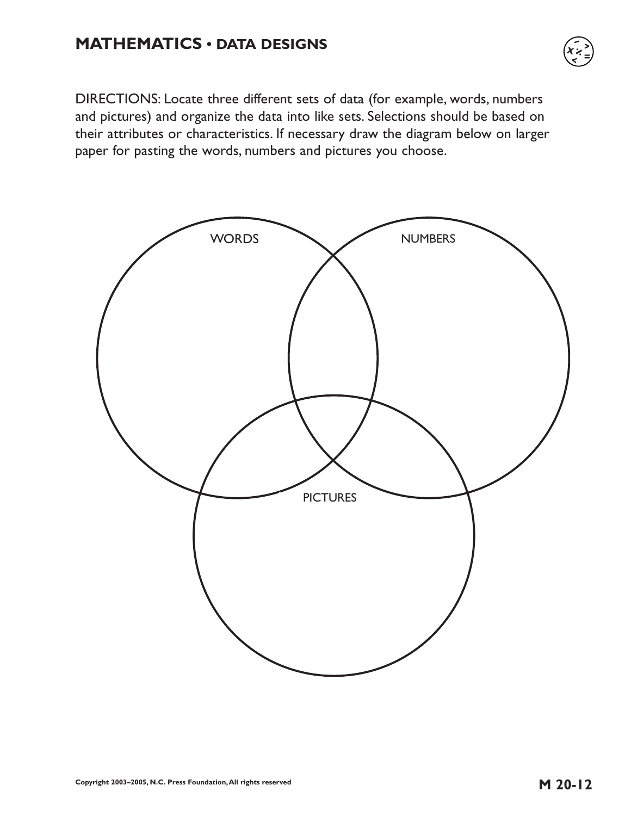## **MATHEMATICS • DATA DESIGNS**

DIRECTIONS: Locate three different sets of data (for example, words, numbers and pictures) and organize the data into like sets. Selections should be based on their attributes or characteristics. If necessary draw the diagram below on larger paper for pasting the words, numbers and pictures you choose.

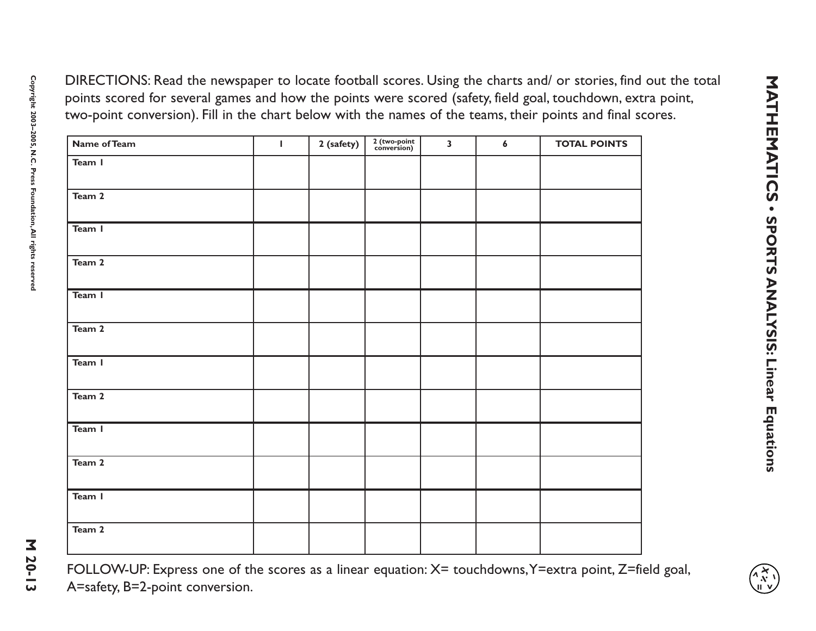| <b>Name of Team</b> | $\mathbf{L}$ | 2 (safety) | 2 (two-point<br>conversion) | $\overline{\mathbf{3}}$ | $\boldsymbol{6}$ | <b>TOTAL POINTS</b> |
|---------------------|--------------|------------|-----------------------------|-------------------------|------------------|---------------------|
| Team I              |              |            |                             |                         |                  |                     |
| Team 2              |              |            |                             |                         |                  |                     |
| Team I              |              |            |                             |                         |                  |                     |
| Team 2              |              |            |                             |                         |                  |                     |
| Team I              |              |            |                             |                         |                  |                     |
| Team 2              |              |            |                             |                         |                  |                     |
| Team I              |              |            |                             |                         |                  |                     |
| Team 2              |              |            |                             |                         |                  |                     |
| Team I              |              |            |                             |                         |                  |                     |
| Team 2              |              |            |                             |                         |                  |                     |
| Team I              |              |            |                             |                         |                  |                     |
| Team 2              |              |            |                             |                         |                  |                     |

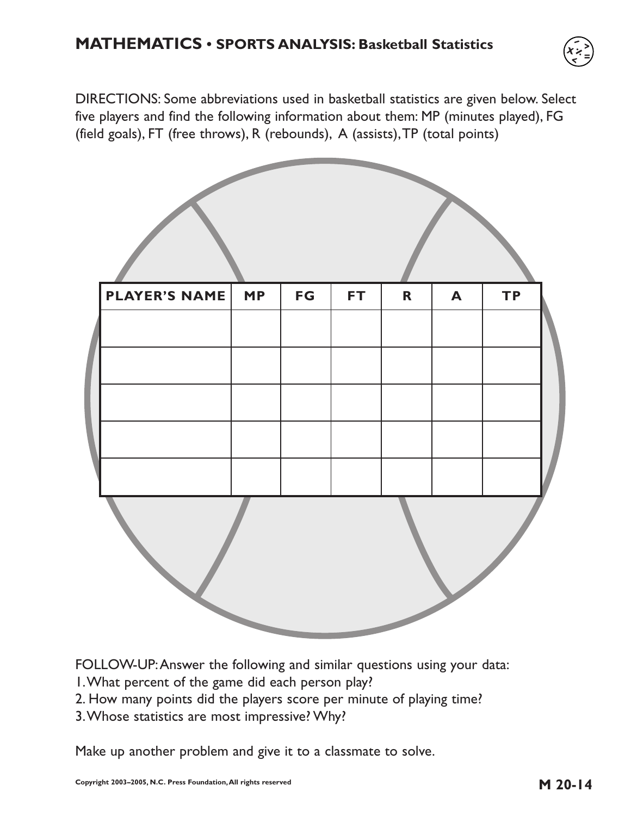

DIRECTIONS: Some abbreviations used in basketball statistics are given below. Select five players and find the following information about them: MP (minutes played), FG (field goals), FT (free throws), R (rebounds), A (assists),TP (total points)



FOLLOW-UP:Answer the following and similar questions using your data:

- 1.What percent of the game did each person play?
- 2. How many points did the players score per minute of playing time?
- 3.Whose statistics are most impressive? Why?

Make up another problem and give it to a classmate to solve.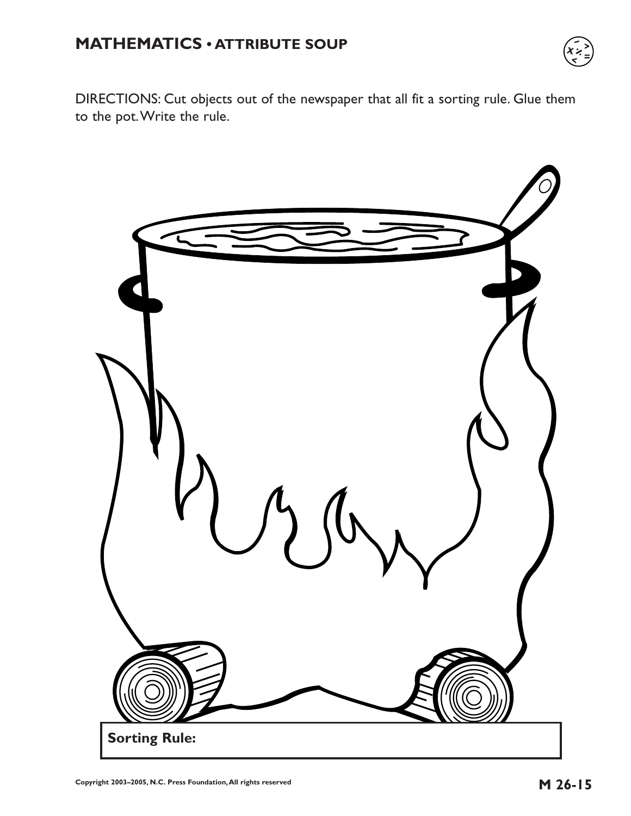# **MATHEMATICS • ATTRIBUTE SOUP**



DIRECTIONS: Cut objects out of the newspaper that all fit a sorting rule. Glue them to the pot.Write the rule.

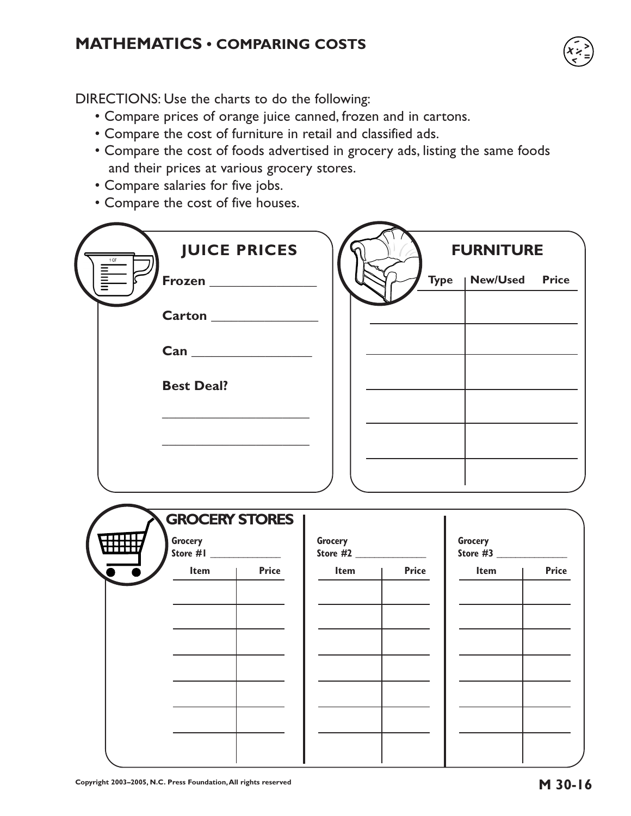## **MATHEMATICS • COMPARING COSTS**

DIRECTIONS: Use the charts to do the following:

- Compare prices of orange juice canned, frozen and in cartons.
- Compare the cost of furniture in retail and classified ads.
- Compare the cost of foods advertised in grocery ads, listing the same foods and their prices at various grocery stores.
- Compare salaries for five jobs.
- Compare the cost of five houses.

| $1 QT$          | <b>JUICE PRICES</b>              |         |              | <b>FURNITURE</b>      |              |
|-----------------|----------------------------------|---------|--------------|-----------------------|--------------|
| <b>THE MANU</b> | Frozen ________________          |         |              | Type   New/Used Price |              |
|                 |                                  |         |              |                       |              |
|                 |                                  |         |              |                       |              |
|                 | <b>Best Deal?</b>                |         |              |                       |              |
|                 |                                  |         |              |                       |              |
|                 |                                  |         |              |                       |              |
|                 |                                  |         |              |                       |              |
|                 |                                  |         |              |                       |              |
|                 | <b>GROCERY STORES</b><br>Grocery | Grocery |              | Grocery<br>Store #3   |              |
|                 | ltem  <br><b>Price</b>           | Item    | <b>Price</b> | $Item \qquad  $       | <b>Price</b> |
|                 |                                  |         |              |                       |              |
|                 |                                  |         |              |                       |              |
|                 |                                  |         |              |                       |              |
|                 |                                  |         |              |                       |              |
|                 |                                  |         |              |                       |              |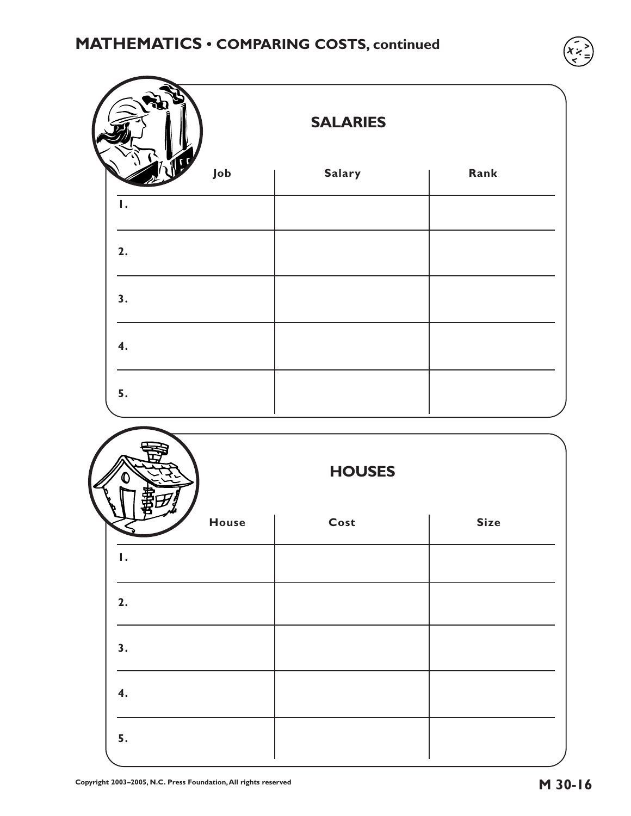|     | <b>SALARIES</b> |      |  |  |  |
|-----|-----------------|------|--|--|--|
| Job | Salary          | Rank |  |  |  |
| Ι.  |                 |      |  |  |  |
| 2.  |                 |      |  |  |  |
| 3.  |                 |      |  |  |  |
| 4.  |                 |      |  |  |  |
| 5.  |                 |      |  |  |  |

|              | <b>HOUSES</b> |             |
|--------------|---------------|-------------|
| <b>House</b> | Cost          | <b>Size</b> |
| Ι.           |               |             |
| 2.           |               |             |
| 3.           |               |             |
| 4.           |               |             |
| 5.           |               |             |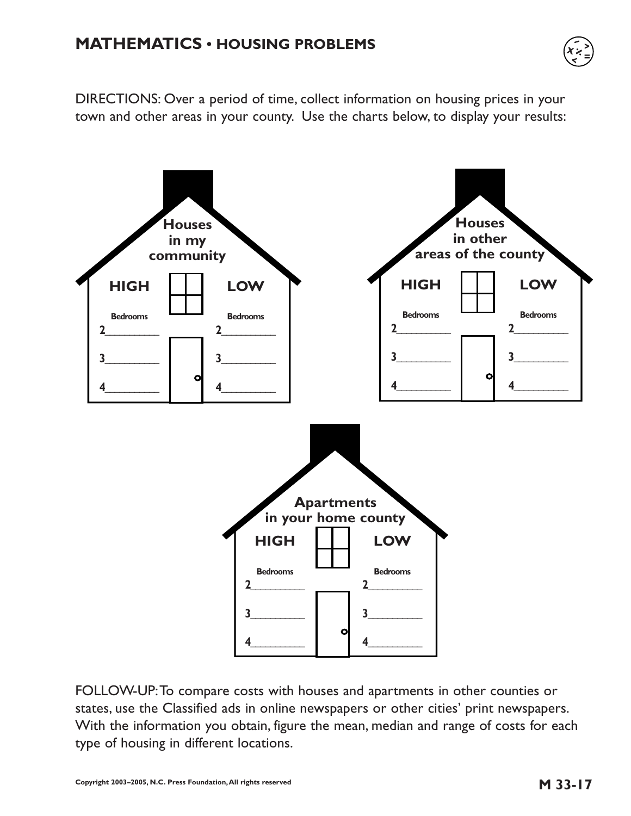### **MATHEMATICS • HOUSING PROBLEMS**



DIRECTIONS: Over a period of time, collect information on housing prices in your town and other areas in your county. Use the charts below, to display your results:



FOLLOW-UP:To compare costs with houses and apartments in other counties or states, use the Classified ads in online newspapers or other cities' print newspapers. With the information you obtain, figure the mean, median and range of costs for each type of housing in different locations.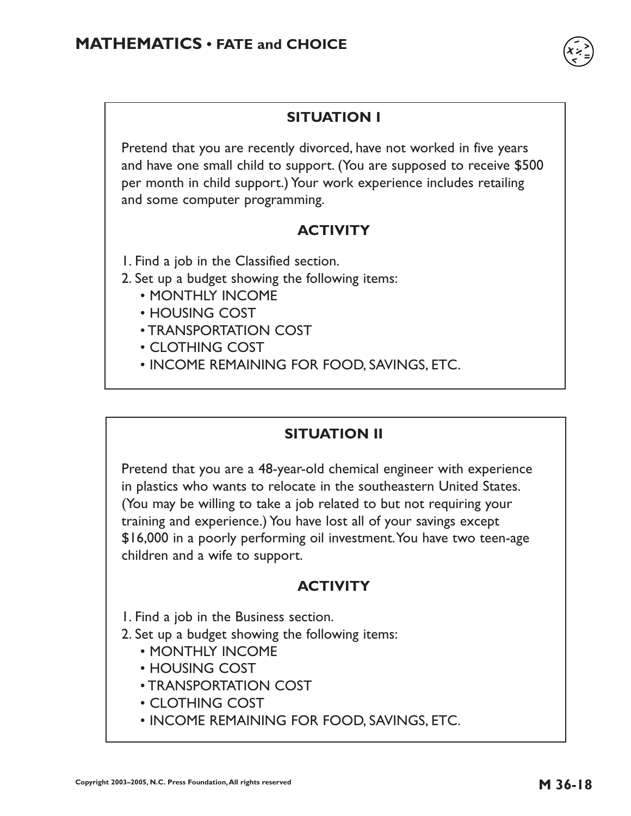### **SITUATION I**

Pretend that you are recently divorced, have not worked in five years and have one small child to support. (You are supposed to receive \$500 per month in child support.) Your work experience includes retailing and some computer programming.

#### **ACTIVITY**

1. Find a job in the Classified section.

- 2. Set up a budget showing the following items:
	- MONTHLY INCOME
	- HOUSING COST
	- TRANSPORTATION COST
	- CLOTHING COST
	- INCOME REMAINING FOR FOOD, SAVINGS, ETC.

#### **SITUATION II**

Pretend that you are a 48-year-old chemical engineer with experience in plastics who wants to relocate in the southeastern United States. (You may be willing to take a job related to but not requiring your training and experience.) You have lost all of your savings except \$16,000 in a poorly performing oil investment.You have two teen-age children and a wife to support.

#### **ACTIVITY**

1. Find a job in the Business section.

2. Set up a budget showing the following items:

- MONTHLY INCOME
- HOUSING COST
- TRANSPORTATION COST
- CLOTHING COST
- INCOME REMAINING FOR FOOD, SAVINGS, ETC.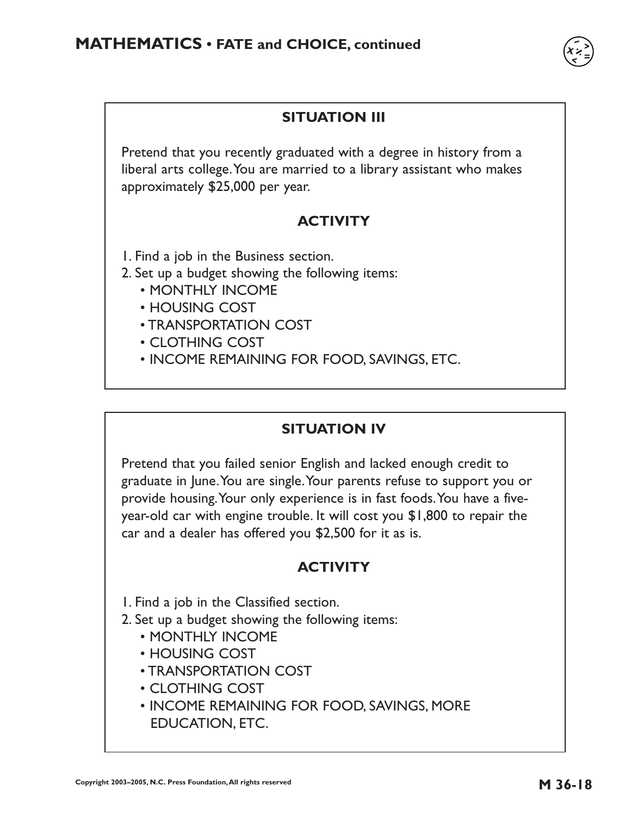

Pretend that you recently graduated with a degree in history from a liberal arts college.You are married to a library assistant who makes approximately \$25,000 per year.

#### **ACTIVITY**

1. Find a job in the Business section.

- 2. Set up a budget showing the following items:
	- MONTHLY INCOME
	- HOUSING COST
	- TRANSPORTATION COST
	- CLOTHING COST
	- INCOME REMAINING FOR FOOD, SAVINGS, ETC.

### **SITUATION IV**

Pretend that you failed senior English and lacked enough credit to graduate in June.You are single.Your parents refuse to support you or provide housing.Your only experience is in fast foods.You have a fiveyear-old car with engine trouble. It will cost you \$1,800 to repair the car and a dealer has offered you \$2,500 for it as is.

#### **ACTIVITY**

1. Find a job in the Classified section.

- 2. Set up a budget showing the following items:
	- MONTHLY INCOME
	- HOUSING COST
	- TRANSPORTATION COST
	- CLOTHING COST
	- INCOME REMAINING FOR FOOD, SAVINGS, MORE EDUCATION, ETC.